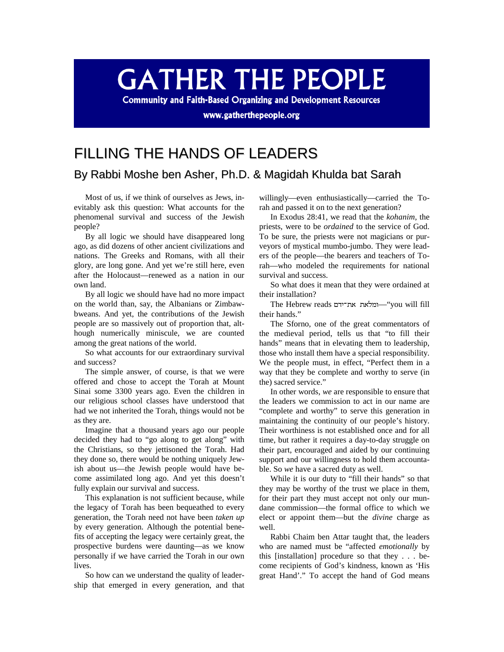## **GATHER THE PEOPLE**

**Community and Faith-Based Organizing and Development Resources** 

www.gatherthepeople.org

## FILLING THE HANDS OF LEADERS

## By Rabbi Moshe ben Asher, Ph.D. & Magidah Khulda bat Sarah

Most of us, if we think of ourselves as Jews, inevitably ask this question: What accounts for the phenomenal survival and success of the Jewish people?

By all logic we should have disappeared long ago, as did dozens of other ancient civilizations and nations. The Greeks and Romans, with all their glory, are long gone. And yet we're still here, even after the Holocaust—renewed as a nation in our own land.

By all logic we should have had no more impact on the world than, say, the Albanians or Zimbawbweans. And yet, the contributions of the Jewish people are so massively out of proportion that, although numerically miniscule, we are counted among the great nations of the world.

So what accounts for our extraordinary survival and success?

The simple answer, of course, is that we were offered and chose to accept the Torah at Mount Sinai some 3300 years ago. Even the children in our religious school classes have understood that had we not inherited the Torah, things would not be as they are.

Imagine that a thousand years ago our people decided they had to "go along to get along" with the Christians, so they jettisoned the Torah. Had they done so, there would be nothing uniquely Jewish about us—the Jewish people would have become assimilated long ago. And yet this doesn't fully explain our survival and success.

This explanation is not sufficient because, while the legacy of Torah has been bequeathed to every generation, the Torah need not have been *taken up* by every generation. Although the potential benefits of accepting the legacy were certainly great, the prospective burdens were daunting—as we know personally if we have carried the Torah in our own lives.

So how can we understand the quality of leadership that emerged in every generation, and that willingly—even enthusiastically—carried the Torah and passed it on to the next generation?

In Exodus 28:41, we read that the *kohanim*, the priests, were to be *ordained* to the service of God. To be sure, the priests were not magicians or purveyors of mystical mumbo-jumbo. They were leaders of the people—the bearers and teachers of Torah—who modeled the requirements for national survival and success.

So what does it mean that they were ordained at their installation?

The Hebrew reads —"you will fill their hands."

The Sforno, one of the great commentators of the medieval period, tells us that "to fill their hands" means that in elevating them to leadership, those who install them have a special responsibility. We the people must, in effect, "Perfect them in a way that they be complete and worthy to serve (in the) sacred service."

In other words, *we* are responsible to ensure that the leaders we commission to act in our name are "complete and worthy" to serve this generation in maintaining the continuity of our people's history. Their worthiness is not established once and for all time, but rather it requires a day-to-day struggle on their part, encouraged and aided by our continuing support and our willingness to hold them accountable. So *we* have a sacred duty as well.

While it is our duty to "fill their hands" so that they may be worthy of the trust we place in them, for their part they must accept not only our mundane commission—the formal office to which we elect or appoint them—but the *divine* charge as well.

Rabbi Chaim ben Attar taught that, the leaders who are named must be "affected *emotionally* by this [installation] procedure so that they . . . become recipients of God's kindness, known as 'His great Hand'." To accept the hand of God means